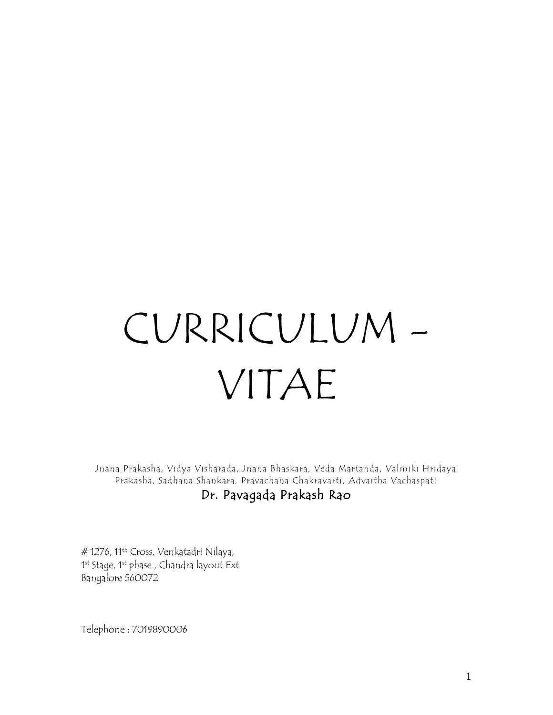# CURRICULUM - VITAE

Jnana Prakasha, Vidya Visharada, Jnana Bhaskara, Veda Martanda, Valmiki Hridaya Prakasha, Sadhana Shankara, Pravachana Chakravarti, Advaitha Vachaspati Dr. Pavagada Prakash Rao

# 1276, 11<sup>th</sup> Cross, Venkatadri Nilaya, 1<sup>st</sup> Stage, 1<sup>st</sup> phase , Chandra layout Ext Bangalore 560072

Telephone : 7019890006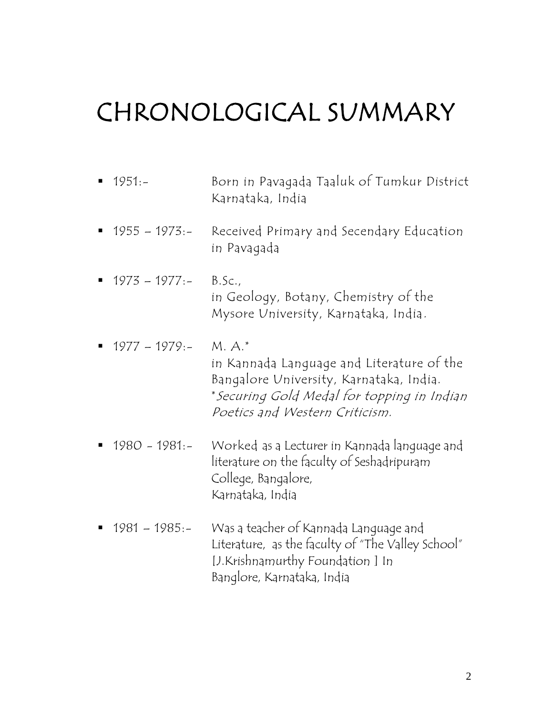## CHRONOLOGICAL SUMMARY

 1951:- Born in Pavagada Taaluk of Tumkur District Karnataka, India 1955 – 1973:- Received Primary and Secendary Education in Pavagada  $1973 - 1977:-$  B.Sc., in Geology, Botany, Chemistry of the Mysore University, Karnataka, India.  $1977 - 1979:- M.A.*$ in Kannada Language and Literature of the Bangalore University, Karnataka, India. \*Securing Gold Medal for topping in Indian Poetics and Western Criticism. 1980 - 1981:- Worked as a Lecturer in Kannada language and literature on the faculty of Seshadripuram College, Bangalore, Karnataka, India 1981 – 1985:- Was a teacher of Kannada Language and Literature, as the faculty of "The Valley School"

[J.Krishnamurthy Foundation ] In

Banglore, Karnataka, India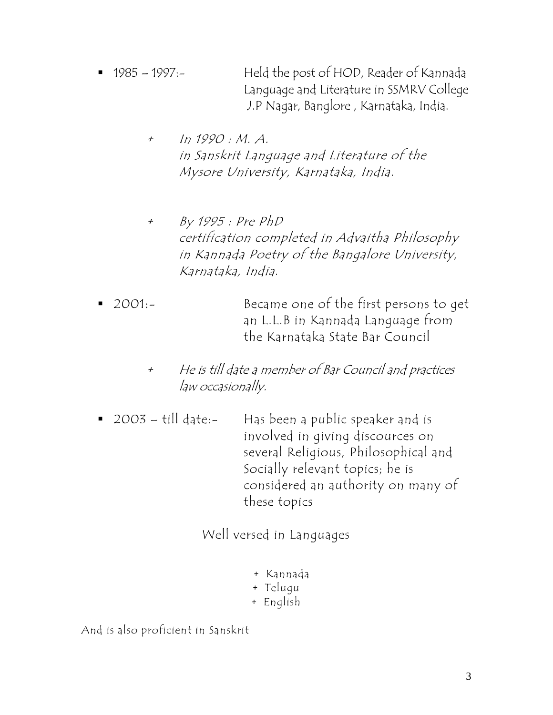- 1985 1997:- Held the post of HOD, Reader of Kannada Language and Literature in SSMRV College J.P Nagar, Banglore , Karnataka, India.
	- + In 1990 : M. A. in Sanskrit Language and Literature of the Mysore University, Karnataka, India.
	- + By 1995 : Pre PhD certification completed in Advaitha Philosophy in Kannada Poetry of the Bangalore University, Karnataka, India.
- 2001:- Became one of the first persons to get an L.L.B in Kannada Language from the Karnataka State Bar Council
	- + He is till date a member of Bar Council and practices law occasionally.
- 2003 till date:- Has been a public speaker and is involved in giving discources on several Religious, Philosophical and Socially relevant topics; he is considered an authority on many of these topics

Well versed in Languages

- + Kannada
- + Telugu
- + English

And is also proficient in Sanskrit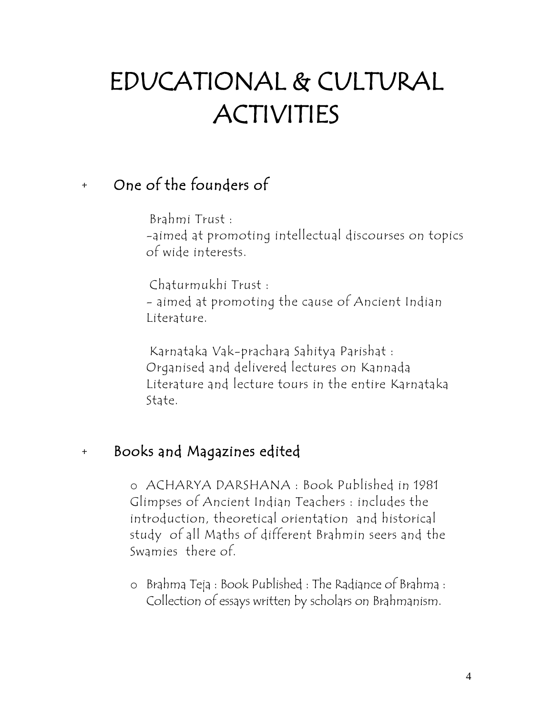# EDUCATIONAL & CULTURAL ACTIVITIES

### + One of the founders of

 Brahmi Trust : -aimed at promoting intellectual discourses on topics of wide interests.

 Chaturmukhi Trust : - aimed at promoting the cause of Ancient Indian Literature.

Karnataka Vak-prachara Sahitya Parishat : Organised and delivered lectures on Kannada Literature and lecture tours in the entire Karnataka State.

### + Books and Magazines edited

o ACHARYA DARSHANA : Book Published in 1981 Glimpses of Ancient Indian Teachers : includes the introduction, theoretical orientation and historical study of all Maths of different Brahmin seers and the Swamies there of.

o Brahma Teja : Book Published : The Radiance of Brahma : Collection of essays written by scholars on Brahmanism.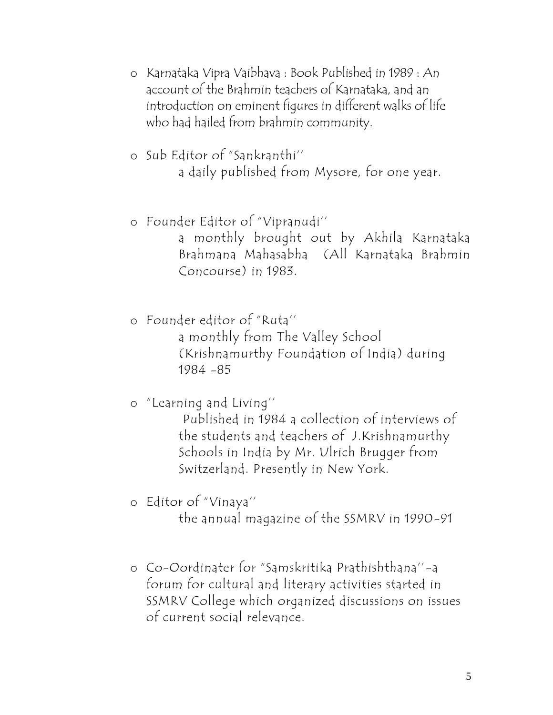- o Karnataka Vipra Vaibhava : Book Published in 1989 : An account of the Brahmin teachers of Karnataka, and an introduction on eminent figures in different walks of life who had hailed from brahmin community.
- o Sub Editor of "Sankranthi'' a daily published from Mysore, for one year.
- o Founder Editor of "Vipranudi'' a monthly brought out by Akhila Karnataka Brahmana Mahasabha (All Karnataka Brahmin Concourse) in 1983.
- o Founder editor of "Ruta'' a monthly from The Valley School (Krishnamurthy Foundation of India) during 1984 -85
- o "Learning and Living''

Published in 1984 a collection of interviews of the students and teachers of J.Krishnamurthy Schools in India by Mr. Ulrich Brugger from Switzerland. Presently in New York.

o Editor of "Vinaya''

the annual magazine of the SSMRV in 1990-91

o Co-Oordinater for "Samskritika Prathishthana''-a forum for cultural and literary activities started in SSMRV College which organized discussions on issues of current social relevance.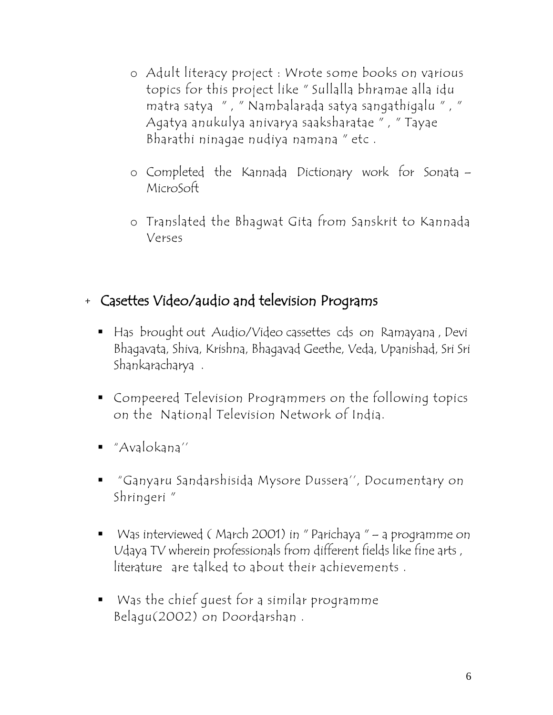- o Adult literacy project : Wrote some books on various topics for this project like " Sullalla bhramae alla idu matra satya " , " Nambalarada satya sangathigalu " , " Agatya anukulya anivarya saaksharatae " , " Tayae Bharathi ninagae nudiya namana " etc .
- o Completed the Kannada Dictionary work for Sonata MicroSoft
- o Translated the Bhagwat Gita from Sanskrit to Kannada Verses

#### + Casettes Video/audio and television Programs

- Has brought out Audio/Video cassettes cds on Ramayana, Devi Bhagavata, Shiva, Krishna, Bhagavad Geethe, Veda, Upanishad, Sri Sri Shankaracharya .
- Compeered Television Programmers on the following topics on the National Television Network of India.
- "Avalokana''
- "Ganyaru Sandarshisida Mysore Dussera'', Documentary on Shringeri "
- Was interviewed (March 2001) in "Parichaya " a programme on Udaya TV wherein professionals from different fields like fine arts , literature are talked to about their achievements .
- Was the chief guest for a similar programme Belagu(2002) on Doordarshan .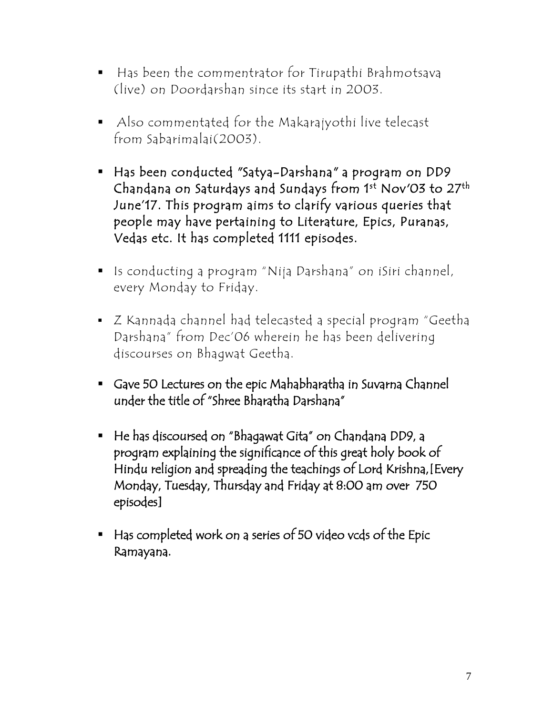- Has been the commentrator for Tirupathi Brahmotsava (live) on Doordarshan since its start in 2003.
- Also commentated for the Makarajyothi live telecast from Sabarimalai(2003).
- Has been conducted "Satya-Darshana" a program on DD9 Chandana on Saturdays and Sundays from 1st Nov′03 to 27<sup>th</sup> June'17. This program aims to clarify various queries that people may have pertaining to Literature, Epics, Puranas, Vedas etc. It has completed 1111 episodes.
- Is conducting a program "Nija Darshana" on iSiri channel, every Monday to Friday.
- Z Kannada channel had telecasted a special program "Geetha Darshana" from Dec'06 wherein he has been delivering discourses on Bhagwat Geetha.
- Gave 50 Lectures on the epic Mahabharatha in Suvarna Channel under the title of "Shree Bharatha Darshana"
- He has discoursed on "Bhagawat Gita" on Chandana DD9, a program explaining the significance of this great holy book of Hindu religion and spreading the teachings of Lord Krishna,[Every Monday, Tuesday, Thursday and Friday at 8:00 am over 750 episodes]
- Has completed work on a series of 50 video vcds of the Epic Ramayana.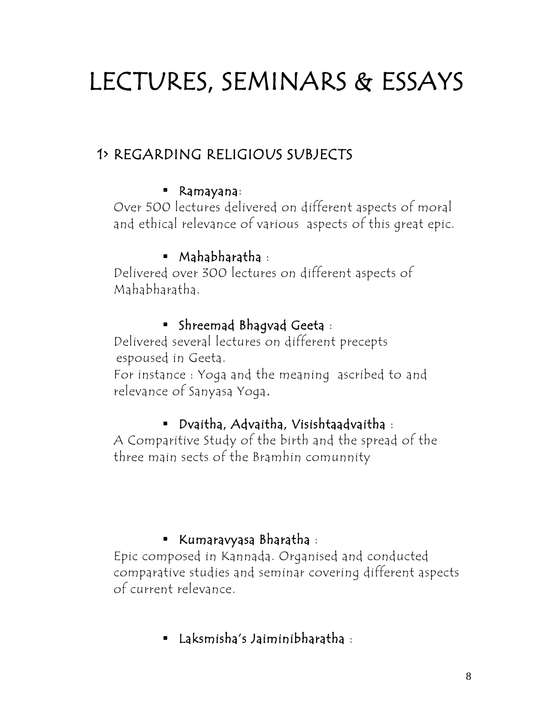# LECTURES, SEMINARS & ESSAYS

### 1> REGARDING RELIGIOUS SUBJECTS

#### Ramayana:

Over 500 lectures delivered on different aspects of moral and ethical relevance of various aspects of this great epic.

#### Mahabharatha :

Delivered over 300 lectures on different aspects of Mahabharatha.

#### Shreemad Bhagvad Geeta :

Delivered several lectures on different precepts espoused in Geeta.

For instance : Yoga and the meaning ascribed to and relevance of Sanyasa Yoga.

#### Dvaitha, Advaitha, Visishtaadvaitha :

A Comparitive Study of the birth and the spread of the three main sects of the Bramhin comunnity

#### Kumaravyasa Bharatha :

Epic composed in Kannada. Organised and conducted comparative studies and seminar covering different aspects of current relevance.

Laksmisha's Jaiminibharatha :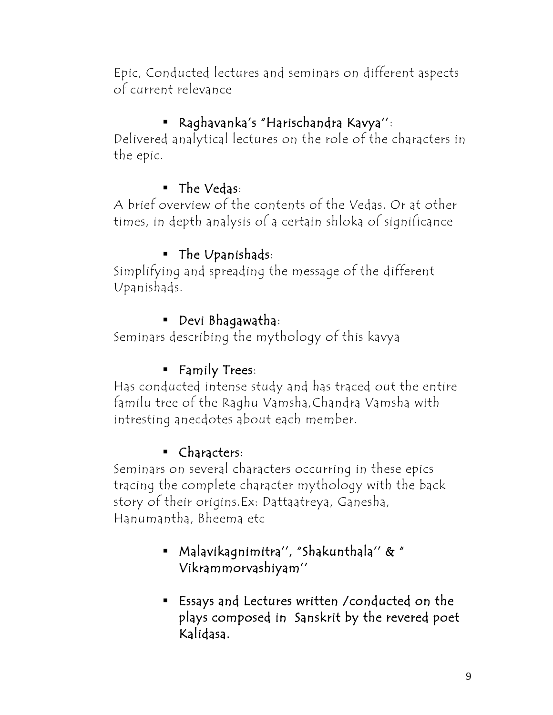Epic, Conducted lectures and seminars on different aspects of current relevance

### Raghavanka's "Harischandra Kavya'':

Delivered analytical lectures on the role of the characters in the epic.

### ■ The Vedas:

A brief overview of the contents of the Vedas. Or at other times, in depth analysis of a certain shloka of significance

### The Upanishads:

Simplifying and spreading the message of the different Upanishads.

#### Devi Bhagawatha:

Seminars describing the mythology of this kavya

### **Family Trees:**

Has conducted intense study and has traced out the entire familu tree of the Raghu Vamsha,Chandra Vamsha with intresting anecdotes about each member.

### Characters:

Seminars on several characters occurring in these epics tracing the complete character mythology with the back story of their origins.Ex: Dattaatreya, Ganesha, Hanumantha, Bheema etc

### Malavikagnimitra'', "Shakunthala'' & " Vikrammorvashiyam''

 Essays and Lectures written /conducted on the plays composed in Sanskrit by the revered poet Kalidasa.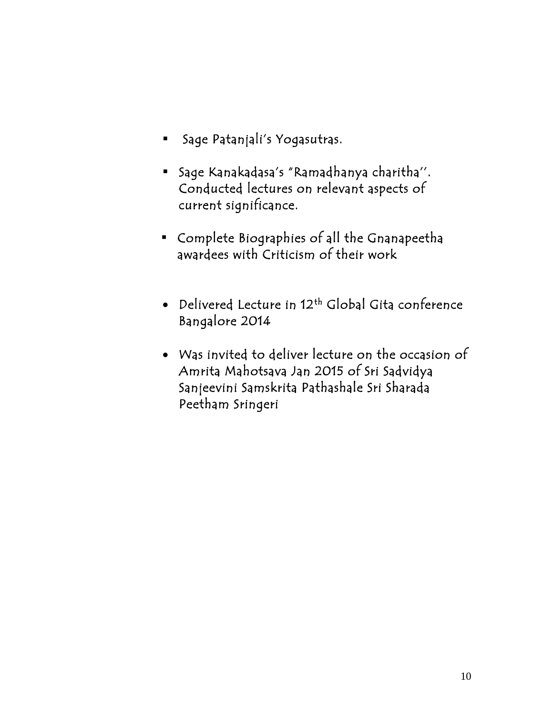- Sage Patanjali's Yogasutras.
- Sage Kanakadasa's "Ramadhanya charitha''. Conducted lectures on relevant aspects of current significance.
- Complete Biographies of all the Gnanapeetha awardees with Criticism of their work
- $\bullet$  Delivered Lecture in 12th Global Gita conference Bangalore 2014
- Was invited to deliver lecture on the occasion of Amrita Mahotsava Jan 2015 of Sri Sadvidya Sanjeevini Samskrita Pathashale Sri Sharada Peetham Sringeri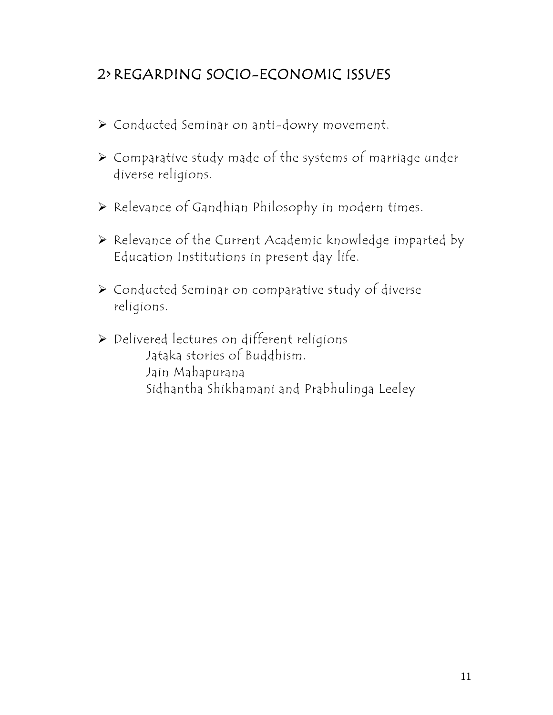### 2> REGARDING SOCIO-ECONOMIC ISSUES

- Conducted Seminar on anti-dowry movement.
- Comparative study made of the systems of marriage under diverse religions.
- Relevance of Gandhian Philosophy in modern times.
- Relevance of the Current Academic knowledge imparted by Education Institutions in present day life.
- Conducted Seminar on comparative study of diverse religions.
- Delivered lectures on different religions Jataka stories of Buddhism. Jain Mahapurana Sidhantha Shikhamani and Prabhulinga Leeley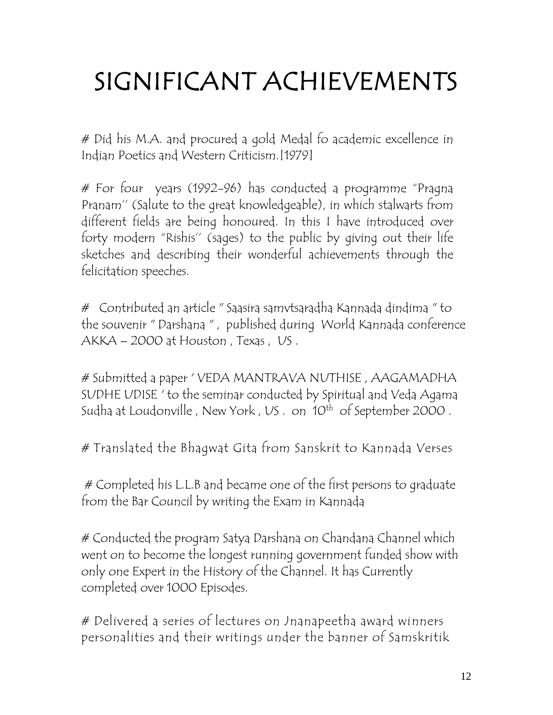# SIGNIFICANT ACHIEVEMENTS

# Did his M.A. and procured a gold Medal fo academic excellence in Indian Poetics and Western Criticism.[1979]

# For four years (1992-96) has conducted a programme "Pragna Pranam'' (Salute to the great knowledgeable), in which stalwarts from different fields are being honoured. In this I have introduced over forty modern "Rishis'' (sages) to the public by giving out their life sketches and describing their wonderful achievements through the felicitation speeches.

# Contributed an article " Saasira samvtsaradha Kannada dindima " to the souvenir " Darshana " , published during World Kannada conference AKKA – 2000 at Houston , Texas , US .

# Submitted a paper ' VEDA MANTRAVA NUTHISE , AAGAMADHA SUDHE UDISE ' to the seminar conducted by Spiritual and Veda Agama Sudha at Loudonville , New York , US . on 10<sup>th</sup> of September 2000 .

# Translated the Bhagwat Gita from Sanskrit to Kannada Verses

# Completed his L.L.B and became one of the first persons to graduate from the Bar Council by writing the Exam in Kannada

# Conducted the program Satya Darshana on Chandana Channel which went on to become the longest running government funded show with only one Expert in the History of the Channel. It has Currently completed over 1000 Episodes.

# Delivered a series of lectures on Jnanapeetha award winners personalities and their writings under the banner of Samskritik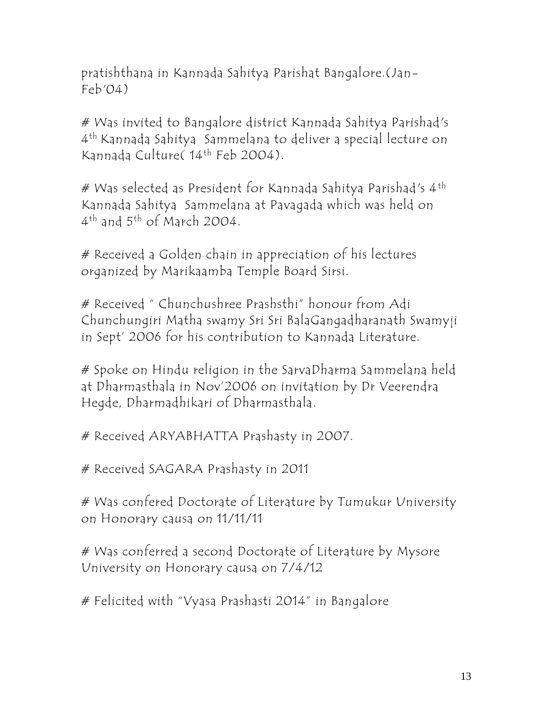pratishthana in Kannada Sahitya Parishat Bangalore.(Jan- $Feb'04)$ 

# Was invited to Bangalore district Kannada Sahitya Parishad's 4 th Kannada Sahitya Sammelana to deliver a special lecture on Kannada Culture( 14th Feb 2004).

# Was selected as President for Kannada Sahitya Parishad's 4<sup>th</sup> Kannada Sahitya Sammelana at Pavagada which was held on  $4^{\text{th}}$  and  $5^{\text{th}}$  of March 2004.

# Received a Golden chain in appreciation of his lectures organized by Marikaamba Temple Board Sirsi.

# Received " Chunchushree Prashsthi" honour from Adi Chunchungiri Matha swamy Sri Sri BalaGangadharanath Swamyji in Sept' 2006 for his contribution to Kannada Literature.

# Spoke on Hindu religion in the SarvaDharma Sammelana held at Dharmasthala in Nov'2006 on invitation by Dr Veerendra Hegde, Dharmadhikari of Dharmasthala.

# Received ARYABHATTA Prashasty in 2007.

# Received SAGARA Prashasty in 2011

# Was confered Doctorate of Literature by Tumukur University on Honorary causa on 11/11/11

# Was conferred a second Doctorate of Literature by Mysore University on Honorary causa on 7/4/12

# Felicited with "Vyasa Prashasti 2014" in Bangalore